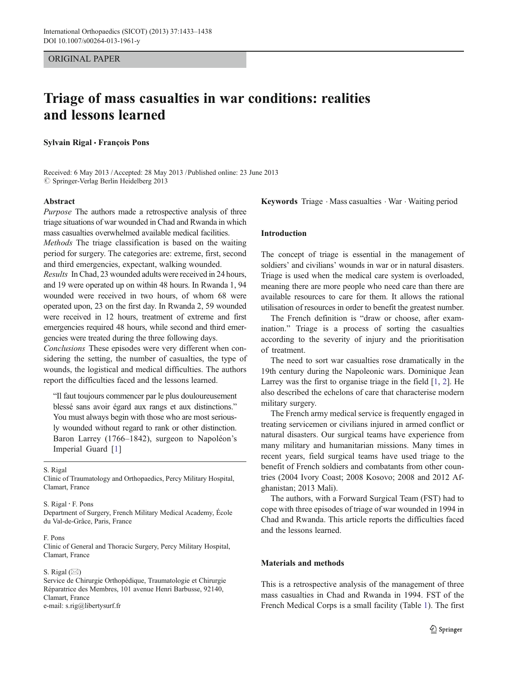# ORIGINAL PAPER

# Triage of mass casualties in war conditions: realities and lessons learned

Sylvain Rigal & François Pons

Received: 6 May 2013 /Accepted: 28 May 2013 / Published online: 23 June 2013  $\oslash$  Springer-Verlag Berlin Heidelberg 2013

## Abstract

Purpose The authors made a retrospective analysis of three triage situations of war wounded in Chad and Rwanda in which mass casualties overwhelmed available medical facilities.

Methods The triage classification is based on the waiting period for surgery. The categories are: extreme, first, second and third emergencies, expectant, walking wounded.

Results In Chad, 23 wounded adults were received in 24 hours, and 19 were operated up on within 48 hours. In Rwanda 1, 94 wounded were received in two hours, of whom 68 were operated upon, 23 on the first day. In Rwanda 2, 59 wounded were received in 12 hours, treatment of extreme and first emergencies required 48 hours, while second and third emergencies were treated during the three following days.

Conclusions These episodes were very different when considering the setting, the number of casualties, the type of wounds, the logistical and medical difficulties. The authors report the difficulties faced and the lessons learned.

"Il faut toujours commencer par le plus douloureusement blessé sans avoir égard aux rangs et aux distinctions." You must always begin with those who are most seriously wounded without regard to rank or other distinction. Baron Larrey (1766–1842), surgeon to Napoléon's Imperial Guard [[1](#page-5-0)]

S. Rigal

Clinic of Traumatology and Orthopaedics, Percy Military Hospital, Clamart, France

S. Rigal : F. Pons

Department of Surgery, French Military Medical Academy, École du Val-de-Grâce, Paris, France

#### F. Pons

Clinic of General and Thoracic Surgery, Percy Military Hospital, Clamart, France

#### S. Rigal  $(\boxtimes)$

Service de Chirurgie Orthopédique, Traumatologie et Chirurgie Réparatrice des Membres, 101 avenue Henri Barbusse, 92140, Clamart, France e-mail: s.rig@libertysurf.fr

Keywords Triage . Mass casualties . War . Waiting period

## Introduction

The concept of triage is essential in the management of soldiers' and civilians' wounds in war or in natural disasters. Triage is used when the medical care system is overloaded, meaning there are more people who need care than there are available resources to care for them. It allows the rational utilisation of resources in order to benefit the greatest number.

The French definition is "draw or choose, after examination." Triage is a process of sorting the casualties according to the severity of injury and the prioritisation of treatment.

The need to sort war casualties rose dramatically in the 19th century during the Napoleonic wars. Dominique Jean Larrey was the first to organise triage in the field [[1,](#page-5-0) [2](#page-5-0)]. He also described the echelons of care that characterise modern military surgery.

The French army medical service is frequently engaged in treating servicemen or civilians injured in armed conflict or natural disasters. Our surgical teams have experience from many military and humanitarian missions. Many times in recent years, field surgical teams have used triage to the benefit of French soldiers and combatants from other countries (2004 Ivory Coast; 2008 Kosovo; 2008 and 2012 Afghanistan; 2013 Mali).

The authors, with a Forward Surgical Team (FST) had to cope with three episodes of triage of war wounded in 1994 in Chad and Rwanda. This article reports the difficulties faced and the lessons learned.

#### Materials and methods

This is a retrospective analysis of the management of three mass casualties in Chad and Rwanda in 1994. FST of the French Medical Corps is a small facility (Table [1\)](#page-1-0). The first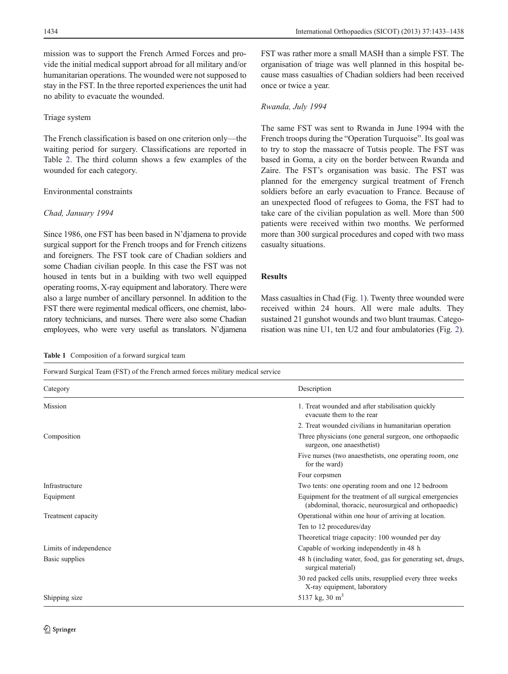<span id="page-1-0"></span>mission was to support the French Armed Forces and provide the initial medical support abroad for all military and/or humanitarian operations. The wounded were not supposed to stay in the FST. In the three reported experiences the unit had no ability to evacuate the wounded.

# Triage system

The French classification is based on one criterion only—the waiting period for surgery. Classifications are reported in Table [2](#page-2-0). The third column shows a few examples of the wounded for each category.

# Environmental constraints

# Chad, January 1994

Since 1986, one FST has been based in N'djamena to provide surgical support for the French troops and for French citizens and foreigners. The FST took care of Chadian soldiers and some Chadian civilian people. In this case the FST was not housed in tents but in a building with two well equipped operating rooms, X-ray equipment and laboratory. There were also a large number of ancillary personnel. In addition to the FST there were regimental medical officers, one chemist, laboratory technicians, and nurses. There were also some Chadian employees, who were very useful as translators. N'djamena

FST was rather more a small MASH than a simple FST. The organisation of triage was well planned in this hospital because mass casualties of Chadian soldiers had been received once or twice a year.

## Rwanda, July 1994

The same FST was sent to Rwanda in June 1994 with the French troops during the "Operation Turquoise". Its goal was to try to stop the massacre of Tutsis people. The FST was based in Goma, a city on the border between Rwanda and Zaire. The FST's organisation was basic. The FST was planned for the emergency surgical treatment of French soldiers before an early evacuation to France. Because of an unexpected flood of refugees to Goma, the FST had to take care of the civilian population as well. More than 500 patients were received within two months. We performed more than 300 surgical procedures and coped with two mass casualty situations.

## Results

Mass casualties in Chad (Fig. [1\)](#page-2-0). Twenty three wounded were received within 24 hours. All were male adults. They sustained 21 gunshot wounds and two blunt traumas. Categorisation was nine U1, ten U2 and four ambulatories (Fig. [2\)](#page-3-0).

Table 1 Composition of a forward surgical team

Forward Surgical Team (FST) of the French armed forces military medical service

| Category               | Description                                                                                                     |  |
|------------------------|-----------------------------------------------------------------------------------------------------------------|--|
| Mission                | 1. Treat wounded and after stabilisation quickly<br>evacuate them to the rear                                   |  |
|                        | 2. Treat wounded civilians in humanitarian operation                                                            |  |
| Composition            | Three physicians (one general surgeon, one orthopaedic<br>surgeon, one anaesthetist)                            |  |
|                        | Five nurses (two anaesthetists, one operating room, one<br>for the ward)                                        |  |
|                        | Four corpsmen                                                                                                   |  |
| Infrastructure         | Two tents: one operating room and one 12 bedroom                                                                |  |
| Equipment              | Equipment for the treatment of all surgical emergencies<br>(abdominal, thoracic, neurosurgical and orthopaedic) |  |
| Treatment capacity     | Operational within one hour of arriving at location.                                                            |  |
|                        | Ten to 12 procedures/day                                                                                        |  |
|                        | Theoretical triage capacity: 100 wounded per day                                                                |  |
| Limits of independence | Capable of working independently in 48 h                                                                        |  |
| Basic supplies         | 48 h (including water, food, gas for generating set, drugs,<br>surgical material)                               |  |
|                        | 30 red packed cells units, resupplied every three weeks<br>X-ray equipment, laboratory                          |  |
| Shipping size          | 5137 kg, 30 m <sup>3</sup>                                                                                      |  |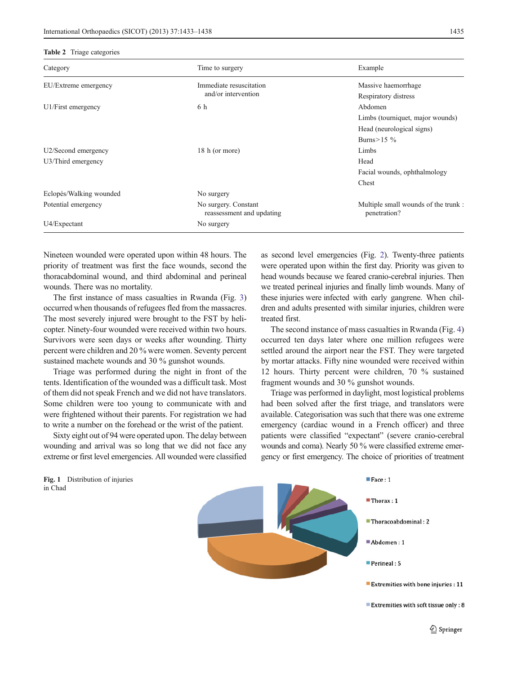#### <span id="page-2-0"></span>Table 2 Triage categories

| Category                | Time to surgery                                   | Example                                             |
|-------------------------|---------------------------------------------------|-----------------------------------------------------|
| EU/Extreme emergency    | Immediate resuscitation                           | Massive haemorrhage                                 |
|                         | and/or intervention                               | Respiratory distress                                |
| U1/First emergency      | 6 h                                               | Abdomen                                             |
|                         |                                                   | Limbs (tourniquet, major wounds)                    |
|                         |                                                   | Head (neurological signs)                           |
|                         |                                                   | Burns $>15\%$                                       |
| U2/Second emergency     | 18 h (or more)                                    | Limbs                                               |
| U3/Third emergency      |                                                   | Head                                                |
|                         |                                                   | Facial wounds, ophthalmology                        |
|                         |                                                   | Chest                                               |
| Eclopés/Walking wounded | No surgery                                        |                                                     |
| Potential emergency     | No surgery. Constant<br>reassessment and updating | Multiple small wounds of the trunk:<br>penetration? |
| $U4/Ex$ pectant         | No surgery                                        |                                                     |

Nineteen wounded were operated upon within 48 hours. The priority of treatment was first the face wounds, second the thoracabdominal wound, and third abdominal and perineal wounds. There was no mortality.

The first instance of mass casualties in Rwanda (Fig. [3\)](#page-3-0) occurred when thousands of refugees fled from the massacres. The most severely injured were brought to the FST by helicopter. Ninety-four wounded were received within two hours. Survivors were seen days or weeks after wounding. Thirty percent were children and 20 % were women. Seventy percent sustained machete wounds and 30 % gunshot wounds.

Triage was performed during the night in front of the tents. Identification of the wounded was a difficult task. Most of them did not speak French and we did not have translators. Some children were too young to communicate with and were frightened without their parents. For registration we had to write a number on the forehead or the wrist of the patient.

Sixty eight out of 94 were operated upon. The delay between wounding and arrival was so long that we did not face any extreme or first level emergencies. All wounded were classified as second level emergencies (Fig. [2](#page-3-0)). Twenty-three patients were operated upon within the first day. Priority was given to head wounds because we feared cranio-cerebral injuries. Then we treated perineal injuries and finally limb wounds. Many of these injuries were infected with early gangrene. When children and adults presented with similar injuries, children were treated first.

The second instance of mass casualties in Rwanda (Fig. [4](#page-3-0)) occurred ten days later where one million refugees were settled around the airport near the FST. They were targeted by mortar attacks. Fifty nine wounded were received within 12 hours. Thirty percent were children, 70 % sustained fragment wounds and 30 % gunshot wounds.

Triage was performed in daylight, most logistical problems had been solved after the first triage, and translators were available. Categorisation was such that there was one extreme emergency (cardiac wound in a French officer) and three patients were classified "expectant" (severe cranio-cerebral wounds and coma). Nearly 50 % were classified extreme emergency or first emergency. The choice of priorities of treatment



Fig. 1 Distribution of injuries in Chad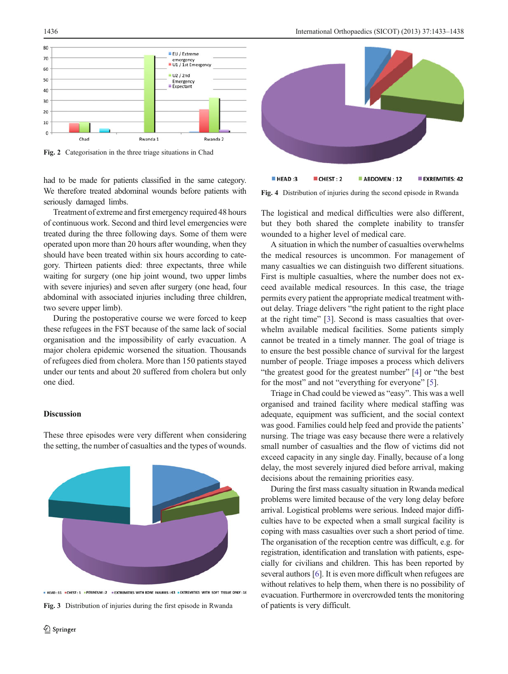<span id="page-3-0"></span>

Fig. 2 Categorisation in the three triage situations in Chad

had to be made for patients classified in the same category. We therefore treated abdominal wounds before patients with seriously damaged limbs.

Treatment of extreme and first emergency required 48 hours of continuous work. Second and third level emergencies were treated during the three following days. Some of them were operated upon more than 20 hours after wounding, when they should have been treated within six hours according to category. Thirteen patients died: three expectants, three while waiting for surgery (one hip joint wound, two upper limbs with severe injuries) and seven after surgery (one head, four abdominal with associated injuries including three children, two severe upper limb).

During the postoperative course we were forced to keep these refugees in the FST because of the same lack of social organisation and the impossibility of early evacuation. A major cholera epidemic worsened the situation. Thousands of refugees died from cholera. More than 150 patients stayed under our tents and about 20 suffered from cholera but only one died.

# Discussion



These three episodes were very different when considering the setting, the number of casualties and the types of wounds.

 $\textcircled{2}$  Springer



Fig. 4 Distribution of injuries during the second episode in Rwanda

The logistical and medical difficulties were also different, but they both shared the complete inability to transfer wounded to a higher level of medical care.

A situation in which the number of casualties overwhelms the medical resources is uncommon. For management of many casualties we can distinguish two different situations. First is multiple casualties, where the number does not exceed available medical resources. In this case, the triage permits every patient the appropriate medical treatment without delay. Triage delivers "the right patient to the right place at the right time" [\[3](#page-5-0)]. Second is mass casualties that overwhelm available medical facilities. Some patients simply cannot be treated in a timely manner. The goal of triage is to ensure the best possible chance of survival for the largest number of people. Triage imposes a process which delivers "the greatest good for the greatest number" [\[4](#page-5-0)] or "the best for the most" and not "everything for everyone" [[5\]](#page-5-0).

Triage in Chad could be viewed as "easy". This was a well organised and trained facility where medical staffing was adequate, equipment was sufficient, and the social context was good. Families could help feed and provide the patients' nursing. The triage was easy because there were a relatively small number of casualties and the flow of victims did not exceed capacity in any single day. Finally, because of a long delay, the most severely injured died before arrival, making decisions about the remaining priorities easy.

During the first mass casualty situation in Rwanda medical problems were limited because of the very long delay before arrival. Logistical problems were serious. Indeed major difficulties have to be expected when a small surgical facility is coping with mass casualties over such a short period of time. The organisation of the reception centre was difficult, e.g. for registration, identification and translation with patients, especially for civilians and children. This has been reported by several authors [\[6](#page-5-0)]. It is even more difficult when refugees are without relatives to help them, when there is no possibility of evacuation. Furthermore in overcrowded tents the monitoring Fig. 3 Distribution of injuries during the first episode in Rwanda of patients is very difficult.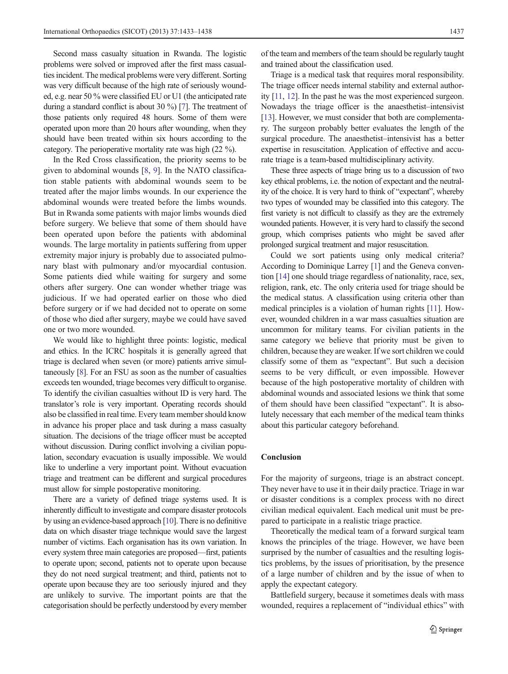Second mass casualty situation in Rwanda. The logistic problems were solved or improved after the first mass casualties incident. The medical problems were very different. Sorting was very difficult because of the high rate of seriously wounded, e.g. near 50 % were classified EU or U1 (the anticipated rate during a standard conflict is about 30 %) [[7\]](#page-5-0). The treatment of those patients only required 48 hours. Some of them were operated upon more than 20 hours after wounding, when they should have been treated within six hours according to the category. The perioperative mortality rate was high (22 %).

In the Red Cross classification, the priority seems to be given to abdominal wounds [\[8](#page-5-0), [9\]](#page-5-0). In the NATO classification stable patients with abdominal wounds seem to be treated after the major limbs wounds. In our experience the abdominal wounds were treated before the limbs wounds. But in Rwanda some patients with major limbs wounds died before surgery. We believe that some of them should have been operated upon before the patients with abdominal wounds. The large mortality in patients suffering from upper extremity major injury is probably due to associated pulmonary blast with pulmonary and/or myocardial contusion. Some patients died while waiting for surgery and some others after surgery. One can wonder whether triage was judicious. If we had operated earlier on those who died before surgery or if we had decided not to operate on some of those who died after surgery, maybe we could have saved one or two more wounded.

We would like to highlight three points: logistic, medical and ethics. In the ICRC hospitals it is generally agreed that triage is declared when seven (or more) patients arrive simultaneously [\[8\]](#page-5-0). For an FSU as soon as the number of casualties exceeds ten wounded, triage becomes very difficult to organise. To identify the civilian casualties without ID is very hard. The translator's role is very important. Operating records should also be classified in real time. Every team member should know in advance his proper place and task during a mass casualty situation. The decisions of the triage officer must be accepted without discussion. During conflict involving a civilian population, secondary evacuation is usually impossible. We would like to underline a very important point. Without evacuation triage and treatment can be different and surgical procedures must allow for simple postoperative monitoring.

There are a variety of defined triage systems used. It is inherently difficult to investigate and compare disaster protocols by using an evidence-based approach [\[10](#page-5-0)]. There is no definitive data on which disaster triage technique would save the largest number of victims. Each organisation has its own variation. In every system three main categories are proposed—first, patients to operate upon; second, patients not to operate upon because they do not need surgical treatment; and third, patients not to operate upon because they are too seriously injured and they are unlikely to survive. The important points are that the categorisation should be perfectly understood by every member

of the team and members of the team should be regularly taught and trained about the classification used.

Triage is a medical task that requires moral responsibility. The triage officer needs internal stability and external authority [[11](#page-5-0), [12](#page-5-0)]. In the past he was the most experienced surgeon. Nowadays the triage officer is the anaesthetist–intensivist [\[13](#page-5-0)]. However, we must consider that both are complementary. The surgeon probably better evaluates the length of the surgical procedure. The anaesthetist–intensivist has a better expertise in resuscitation. Application of effective and accurate triage is a team-based multidisciplinary activity.

These three aspects of triage bring us to a discussion of two key ethical problems, i.e. the notion of expectant and the neutrality of the choice. It is very hard to think of "expectant", whereby two types of wounded may be classified into this category. The first variety is not difficult to classify as they are the extremely wounded patients. However, it is very hard to classify the second group, which comprises patients who might be saved after prolonged surgical treatment and major resuscitation.

Could we sort patients using only medical criteria? According to Dominique Larrey [\[1](#page-5-0)] and the Geneva convention [[14](#page-5-0)] one should triage regardless of nationality, race, sex, religion, rank, etc. The only criteria used for triage should be the medical status. A classification using criteria other than medical principles is a violation of human rights [[11](#page-5-0)]. However, wounded children in a war mass casualties situation are uncommon for military teams. For civilian patients in the same category we believe that priority must be given to children, because they are weaker. If we sort children we could classify some of them as "expectant". But such a decision seems to be very difficult, or even impossible. However because of the high postoperative mortality of children with abdominal wounds and associated lesions we think that some of them should have been classified "expectant". It is absolutely necessary that each member of the medical team thinks about this particular category beforehand.

#### Conclusion

For the majority of surgeons, triage is an abstract concept. They never have to use it in their daily practice. Triage in war or disaster conditions is a complex process with no direct civilian medical equivalent. Each medical unit must be prepared to participate in a realistic triage practice.

Theoretically the medical team of a forward surgical team knows the principles of the triage. However, we have been surprised by the number of casualties and the resulting logistics problems, by the issues of prioritisation, by the presence of a large number of children and by the issue of when to apply the expectant category.

Battlefield surgery, because it sometimes deals with mass wounded, requires a replacement of "individual ethics" with